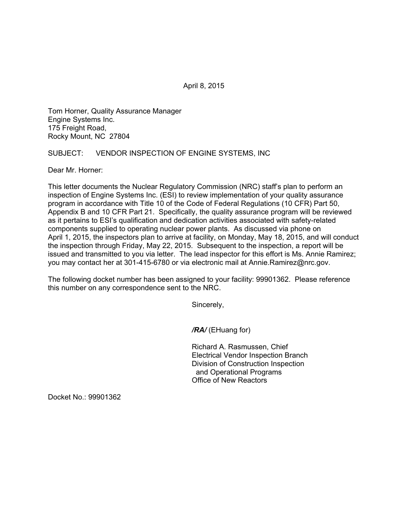April 8, 2015

Tom Horner, Quality Assurance Manager Engine Systems Inc. 175 Freight Road, Rocky Mount, NC 27804

## SUBJECT: VENDOR INSPECTION OF ENGINE SYSTEMS, INC

Dear Mr. Horner:

This letter documents the Nuclear Regulatory Commission (NRC) staff's plan to perform an inspection of Engine Systems Inc. (ESI) to review implementation of your quality assurance program in accordance with Title 10 of the Code of Federal Regulations (10 CFR) Part 50, Appendix B and 10 CFR Part 21. Specifically, the quality assurance program will be reviewed as it pertains to ESI's qualification and dedication activities associated with safety-related components supplied to operating nuclear power plants. As discussed via phone on April 1, 2015, the inspectors plan to arrive at facility, on Monday, May 18, 2015, and will conduct the inspection through Friday, May 22, 2015. Subsequent to the inspection, a report will be issued and transmitted to you via letter. The lead inspector for this effort is Ms. Annie Ramirez; you may contact her at 301-415-6780 or via electronic mail at Annie.Ramirez@nrc.gov.

The following docket number has been assigned to your facility: 99901362. Please reference this number on any correspondence sent to the NRC.

Sincerely,

*/RA/* (EHuang for)

Richard A. Rasmussen, Chief Electrical Vendor Inspection Branch Division of Construction Inspection and Operational Programs Office of New Reactors

Docket No.: 99901362